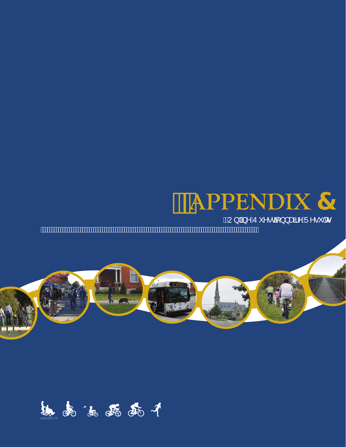# **APPENDIX &**

2 QIIQH 4 XHVMIRQQDILIH 5 HVXOW



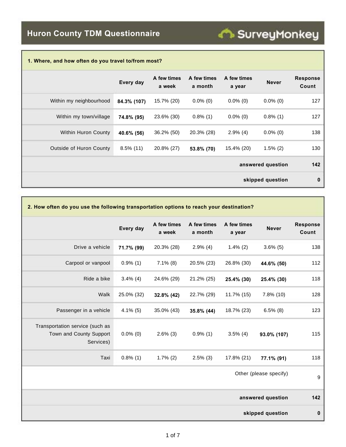| 1. Where, and how often do you travel to/from most? |              |                       |                        |                       |                   |                          |
|-----------------------------------------------------|--------------|-----------------------|------------------------|-----------------------|-------------------|--------------------------|
|                                                     | Every day    | A few times<br>a week | A few times<br>a month | A few times<br>a year | <b>Never</b>      | <b>Response</b><br>Count |
| Within my neighbourhood                             | 84.3% (107)  | 15.7% (20)            | $0.0\%$ (0)            | $0.0\%$ (0)           | $0.0\%$ (0)       | 127                      |
| Within my town/village                              | 74.8% (95)   | 23.6% (30)            | $0.8\%$ (1)            | $0.0\%$ (0)           | $0.8\%$ (1)       | 127                      |
| <b>Within Huron County</b>                          | 40.6% (56)   | $36.2\%$ (50)         | 20.3% (28)             | $2.9\%$ (4)           | $0.0\%$ (0)       | 138                      |
| <b>Outside of Huron County</b>                      | $8.5\%$ (11) | 20.8% (27)            | 53.8% (70)             | 15.4% (20)            | $1.5\%$ (2)       | 130                      |
|                                                     |              |                       |                        |                       | answered question | 142                      |
|                                                     |              |                       |                        |                       | skipped question  | 0                        |

**SurveyMonkey** 

| 2. How often do you use the following transportation options to reach your destination? |             |                       |                        |                       |                        |                          |
|-----------------------------------------------------------------------------------------|-------------|-----------------------|------------------------|-----------------------|------------------------|--------------------------|
|                                                                                         | Every day   | A few times<br>a week | A few times<br>a month | A few times<br>a year | <b>Never</b>           | <b>Response</b><br>Count |
| Drive a vehicle                                                                         | 71.7% (99)  | 20.3% (28)            | $2.9\%$ (4)            | $1.4\%$ (2)           | $3.6\%$ (5)            | 138                      |
| Carpool or vanpool                                                                      | $0.9\%$ (1) | $7.1\%$ (8)           | 20.5% (23)             | 26.8% (30)            | 44.6% (50)             | 112                      |
| Ride a bike                                                                             | $3.4\%$ (4) | 24.6% (29)            | 21.2% (25)             | 25.4% (30)            | 25.4% (30)             | 118                      |
| Walk                                                                                    | 25.0% (32)  | 32.8% (42)            | 22.7% (29)             | 11.7% (15)            | 7.8% (10)              | 128                      |
| Passenger in a vehicle                                                                  | $4.1\%$ (5) | 35.0% (43)            | 35.8% (44)             | 18.7% (23)            | $6.5\%$ (8)            | 123                      |
| Transportation service (such as<br>Town and County Support<br>Services)                 | $0.0\%$ (0) | $2.6\%$ (3)           | $0.9\%$ (1)            | $3.5\%$ (4)           | 93.0% (107)            | 115                      |
| Taxi                                                                                    | $0.8\%$ (1) | $1.7\%$ (2)           | $2.5\%$ (3)            | 17.8% (21)            | 77.1% (91)             | 118                      |
|                                                                                         |             |                       |                        |                       | Other (please specify) | 9                        |
|                                                                                         |             |                       |                        |                       | answered question      | 142                      |
|                                                                                         |             |                       |                        |                       | skipped question       | $\pmb{0}$                |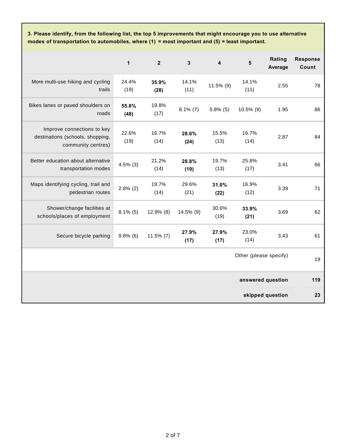**3. Please identify, from the following list, the top 5 improvements that might encourage you to use alternative modes of transportation to automobiles, where (1) = most important and (5) = least important.**

|                                                                                      | $\mathbf{1}$  | $\overline{2}$ | $\mathbf{3}$  | $\overline{\mathbf{4}}$ | 5                      | Rating<br>Average | <b>Response</b><br>Count |
|--------------------------------------------------------------------------------------|---------------|----------------|---------------|-------------------------|------------------------|-------------------|--------------------------|
| More multi-use hiking and cycling<br>trails                                          | 24.4%<br>(19) | 35.9%<br>(28)  | 14.1%<br>(11) | 11.5% (9)               | 14.1%<br>(11)          | 2.55              | 78                       |
| Bikes lanes or paved shoulders on<br>roads                                           | 55.8%<br>(48) | 19.8%<br>(17)  | $8.1\%$ (7)   | $5.8\%$ (5)             | 10.5% (9)              | 1.95              | 86                       |
| Improve connections to key<br>destinations (schools, shopping,<br>community centres) | 22.6%<br>(19) | 16.7%<br>(14)  | 28.6%<br>(24) | 15.5%<br>(13)           | 16.7%<br>(14)          | 2.87              | 84                       |
| Better education about alternative<br>transportation modes                           | $4.5\%$ (3)   | 21.2%<br>(14)  | 28.8%<br>(19) | 19.7%<br>(13)           | 25.8%<br>(17)          | 3.41              | 66                       |
| Maps identifying cycling, trail and<br>pedestrian routes                             | $2.8\%$ (2)   | 19.7%<br>(14)  | 29.6%<br>(21) | 31.0%<br>(22)           | 16.9%<br>(12)          | 3.39              | 71                       |
| Shower/change facilities at<br>schools/places of employment                          | $8.1\%$ (5)   | 12.9% (8)      | 14.5% (9)     | 30.6%<br>(19)           | 33.9%<br>(21)          | 3.69              | 62                       |
| Secure bicycle parking                                                               | $9.8\%$ (6)   | $11.5\%$ (7)   | 27.9%<br>(17) | 27.9%<br>(17)           | 23.0%<br>(14)          | 3.43              | 61                       |
|                                                                                      |               |                |               |                         | Other (please specify) |                   | 19                       |
|                                                                                      |               |                |               |                         | answered question      |                   | 119                      |
|                                                                                      |               |                |               |                         |                        | skipped question  | 23                       |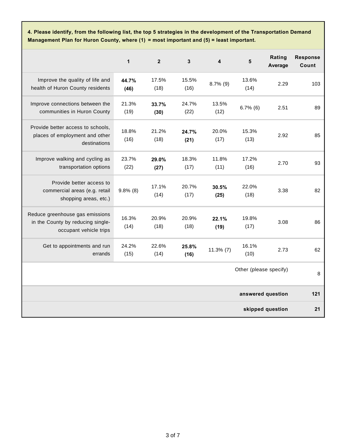**4. Please identify, from the following list, the top 5 strategies in the development of the Transportation Demand Management Plan for Huron County, where (1) = most important and (5) = least important.**

|                                                                                                | $\mathbf{1}$  | $\overline{2}$ | $\mathbf{3}$  | 4             | 5                      | Rating<br>Average | <b>Response</b><br>Count |
|------------------------------------------------------------------------------------------------|---------------|----------------|---------------|---------------|------------------------|-------------------|--------------------------|
| Improve the quality of life and<br>health of Huron County residents                            | 44.7%<br>(46) | 17.5%<br>(18)  | 15.5%<br>(16) | $8.7\%$ (9)   | 13.6%<br>(14)          | 2.29              | 103                      |
| Improve connections between the<br>communities in Huron County                                 | 21.3%<br>(19) | 33.7%<br>(30)  | 24.7%<br>(22) | 13.5%<br>(12) | $6.7\%$ (6)            | 2.51              | 89                       |
| Provide better access to schools,<br>places of employment and other<br>destinations            | 18.8%<br>(16) | 21.2%<br>(18)  | 24.7%<br>(21) | 20.0%<br>(17) | 15.3%<br>(13)          | 2.92              | 85                       |
| Improve walking and cycling as<br>transportation options                                       | 23.7%<br>(22) | 29.0%<br>(27)  | 18.3%<br>(17) | 11.8%<br>(11) | 17.2%<br>(16)          | 2.70              | 93                       |
| Provide better access to<br>commercial areas (e.g. retail<br>shopping areas, etc.)             | $9.8\%$ (8)   | 17.1%<br>(14)  | 20.7%<br>(17) | 30.5%<br>(25) | 22.0%<br>(18)          | 3.38              | 82                       |
| Reduce greenhouse gas emissions<br>in the County by reducing single-<br>occupant vehicle trips | 16.3%<br>(14) | 20.9%<br>(18)  | 20.9%<br>(18) | 22.1%<br>(19) | 19.8%<br>(17)          | 3.08              | 86                       |
| Get to appointments and run<br>errands                                                         | 24.2%<br>(15) | 22.6%<br>(14)  | 25.8%<br>(16) | $11.3\%$ (7)  | 16.1%<br>(10)          | 2.73              | 62                       |
|                                                                                                |               |                |               |               | Other (please specify) |                   | 8                        |
| answered question                                                                              |               |                |               |               | 121                    |                   |                          |
|                                                                                                |               |                |               |               |                        | skipped question  | 21                       |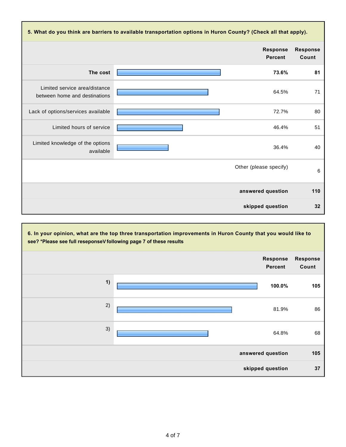| 5. What do you think are barriers to available transportation options in Huron County? (Check all that apply). |                                   |                          |  |  |
|----------------------------------------------------------------------------------------------------------------|-----------------------------------|--------------------------|--|--|
|                                                                                                                | <b>Response</b><br><b>Percent</b> | <b>Response</b><br>Count |  |  |
| The cost                                                                                                       | 73.6%                             | 81                       |  |  |
| Limited service area/distance<br>between home and destinations                                                 | 64.5%                             | 71                       |  |  |
| Lack of options/services available                                                                             | 72.7%                             | 80                       |  |  |
| Limited hours of service                                                                                       | 46.4%                             | 51                       |  |  |
| Limited knowledge of the options<br>available                                                                  | 36.4%                             | 40                       |  |  |
|                                                                                                                | Other (please specify)            | 6                        |  |  |
|                                                                                                                | answered question                 | 110                      |  |  |
|                                                                                                                | skipped question                  | 32                       |  |  |

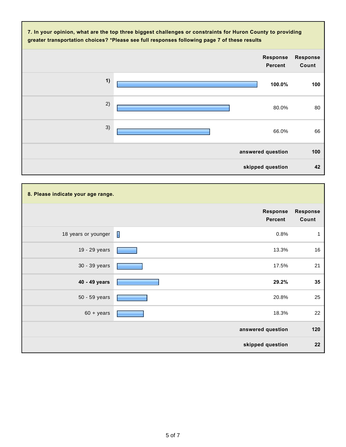

| 8. Please indicate your age range. |                            |                   |
|------------------------------------|----------------------------|-------------------|
|                                    | <b>Response</b><br>Percent | Response<br>Count |
| 18 years or younger                | $\mathbf{I}$<br>0.8%       | 1                 |
| 19 - 29 years                      | 13.3%                      | 16                |
| 30 - 39 years                      | 17.5%                      | 21                |
| 40 - 49 years                      | 29.2%                      | 35                |
| 50 - 59 years                      | 20.8%                      | 25                |
| $60 + \text{years}$                | 18.3%                      | 22                |
|                                    | answered question          | 120               |
|                                    | skipped question           | 22                |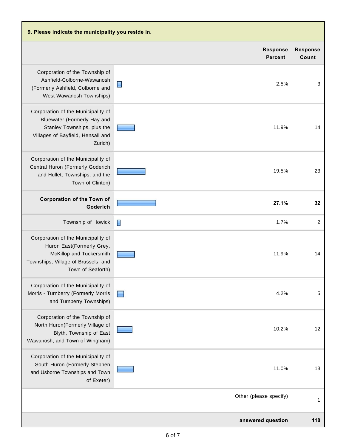| 9. Please indicate the municipality you reside in.                                                                                                      |                                   |                          |
|---------------------------------------------------------------------------------------------------------------------------------------------------------|-----------------------------------|--------------------------|
|                                                                                                                                                         | <b>Response</b><br><b>Percent</b> | <b>Response</b><br>Count |
| Corporation of the Township of<br>Ashfield-Colborne-Wawanosh<br>(Formerly Ashfield, Colborne and<br>West Wawanosh Townships)                            | E<br>2.5%                         | 3                        |
| Corporation of the Municipality of<br>Bluewater (Formerly Hay and<br>Stanley Townships, plus the<br>Villages of Bayfield, Hensall and<br>Zurich)        | 11.9%                             | 14                       |
| Corporation of the Municipality of<br>Central Huron (Formerly Goderich<br>and Hullett Townships, and the<br>Town of Clinton)                            | 19.5%                             | 23                       |
| <b>Corporation of the Town of</b><br>Goderich                                                                                                           | 27.1%                             | 32                       |
| Township of Howick                                                                                                                                      | H<br>1.7%                         | $\overline{2}$           |
| Corporation of the Municipality of<br>Huron East(Formerly Grey,<br>McKillop and Tuckersmith<br>Townships, Village of Brussels, and<br>Town of Seaforth) | 11.9%                             | 14                       |
| Corporation of the Municipality of<br>Morris - Turnberry (Formerly Morris<br>and Turnberry Townships)                                                   | 4.2%                              | 5                        |
| Corporation of the Township of<br>North Huron(Formerly Village of<br>Blyth, Township of East<br>Wawanosh, and Town of Wingham)                          | 10.2%                             | 12                       |
| Corporation of the Municipality of<br>South Huron (Formerly Stephen<br>and Usborne Townships and Town<br>of Exeter)                                     | 11.0%                             | 13                       |
|                                                                                                                                                         | Other (please specify)            | 1                        |
|                                                                                                                                                         | answered question                 | 118                      |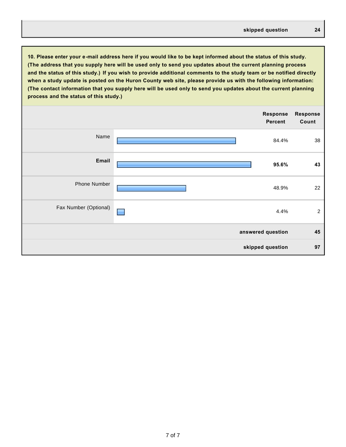**10. Please enter your e-mail address here if you would like to be kept informed about the status of this study. (The address that you supply here will be used only to send you updates about the current planning process and the status of this study.) If you wish to provide additional comments to the study team or be notified directly when a study update is posted on the Huron County web site, please provide us with the following information: (The contact information that you supply here will be used only to send you updates about the current planning process and the status of this study.)**

|                       | <b>Response</b><br>Percent | <b>Response</b><br>Count |
|-----------------------|----------------------------|--------------------------|
| Name                  | 84.4%                      | 38                       |
| Email                 | 95.6%                      | 43                       |
| Phone Number          | 48.9%                      | 22                       |
| Fax Number (Optional) | 4.4%                       | $\overline{c}$           |
|                       | answered question          | 45                       |
|                       | skipped question           | 97                       |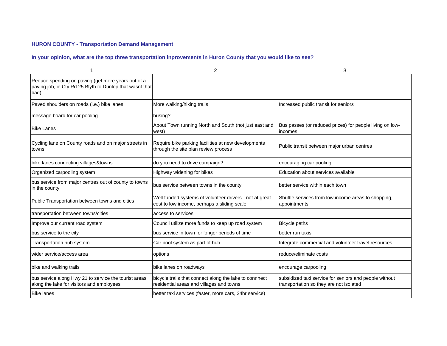## **HURON COUNTY - Transportation Demand Management**

#### **In your opinion, what are the top three transportation inprovements in Huron County that you would like to see?**

|                                                                                                                        | 2                                                                                                      | 3                                                                                                 |
|------------------------------------------------------------------------------------------------------------------------|--------------------------------------------------------------------------------------------------------|---------------------------------------------------------------------------------------------------|
| Reduce spending on paving (get more years out of a<br>paving job, ie Cty Rd 25 Blyth to Dunlop that wasnt that<br>bad) |                                                                                                        |                                                                                                   |
| Paved shoulders on roads (i.e.) bike lanes                                                                             | More walking/hiking trails                                                                             | Increased public transit for seniors                                                              |
| message board for car pooling                                                                                          | busing?                                                                                                |                                                                                                   |
| <b>Bike Lanes</b>                                                                                                      | About Town running North and South (not just east and<br>west)                                         | Bus passes (or reduced prices) for people living on low-<br>incomes                               |
| Cycling lane on County roads and on major streets in<br>towns                                                          | Require bike parking facilities at new developments<br>through the site plan review process            | Public transit between major urban centres                                                        |
| bike lanes connecting villages&towns                                                                                   | do you need to drive campaign?                                                                         | encouraging car pooling                                                                           |
| Organized carpooling system                                                                                            | Highway widening for bikes                                                                             | Education about services available                                                                |
| bus service from major centres out of county to towns<br>in the county                                                 | bus service between towns in the county                                                                | better service within each town                                                                   |
| Public Transportation between towns and cities                                                                         | Well funded systems of volunteer drivers - not at great<br>cost to low income, perhaps a sliding scale | Shuttle services from low income areas to shopping,<br>appointments                               |
| transportation between towns/cities                                                                                    | access to services                                                                                     |                                                                                                   |
| Improve our current road system                                                                                        | Council utilize more funds to keep up road system                                                      | <b>Bicycle paths</b>                                                                              |
| bus service to the city                                                                                                | bus service in town for longer periods of time                                                         | better run taxis                                                                                  |
| Transportation hub system                                                                                              | Car pool system as part of hub                                                                         | Integrate commercial and volunteer travel resources                                               |
| wider service/access area                                                                                              | options                                                                                                | reduce/eliminate costs                                                                            |
| bike and walking trails                                                                                                | bike lanes on roadways                                                                                 | encourage carpooling                                                                              |
| bus service along Hwy 21 to service the tourist areas<br>along the lake for visitors and employees                     | bicycle trails that connect along the lake to connnect<br>residential areas and villages and towns     | subsidized taxi service for seniors and people without<br>transportation so they are not isolated |
| <b>Bike lanes</b>                                                                                                      | better taxi services (faster, more cars, 24hr service)                                                 |                                                                                                   |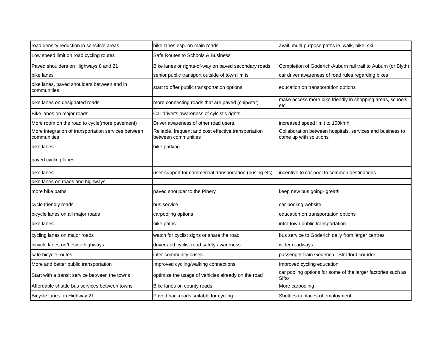| road density reduction in sensitive areas                          | bike lanes esp. on main roads                                               | avail. multi-purpose paths ie. walk, bike, ski                                      |
|--------------------------------------------------------------------|-----------------------------------------------------------------------------|-------------------------------------------------------------------------------------|
| Low speed limit on road cycling routes                             | Safe Routes to Schools & Business                                           |                                                                                     |
| Paved shoulders on Highways 8 and 21                               | Bike lanes or rights-of-way on paved secondary roads                        | Completion of Goderich-Auburn rail trail to Auburn (or Blyth)                       |
| bike lanes                                                         | senior public transport outside of town limits                              | car driver awareness of road rules regarding bikes                                  |
| bike lanes, paved shoulders between and in<br>communities          | start to offer public transportation options                                | education on transportation options                                                 |
| bike lanes on designated roads                                     | more connecting roads that are paved (chip&tar)                             | make access more bike friendly in shopping areas, schools<br>etc                    |
| Bike lanes on major roads                                          | Car driver's awareness of cylcist's rights                                  |                                                                                     |
| More room on the road to cycle(more pavement)                      | Driver awareness of other road users.                                       | increased speed limit to 100kmh                                                     |
| More integration of transportation services between<br>communities | Reliable, frequent and cost effective transportation<br>between communities | Collaboration between hospitals, services and business to<br>come up with solutions |
| bike lanes                                                         | bike parking                                                                |                                                                                     |
| paved cycling lanes                                                |                                                                             |                                                                                     |
| bike lanes                                                         | user support for commercial transportation (busing etc)                     | incentive to car pool to common destinations                                        |
| bike lanes on roads and highways                                   |                                                                             |                                                                                     |
| more bike paths                                                    | paved shoulder to the Pinery                                                | keep new bus going- great!!                                                         |
| cycle friendly roads                                               | bus service                                                                 | car-pooling website                                                                 |
| bicycle lanes on all major roads                                   | carpooling options                                                          | education on transportation options                                                 |
| bike lanes                                                         | bike paths                                                                  | intra town public transportation                                                    |
| cycling lanes on major roads                                       | watch for cyclist signs or share the road                                   | bus service to Goderich daily from larger centres                                   |
| bicycle lanes on/beside highways                                   | driver and cyclist road safety awareness                                    | wider roadways                                                                      |
| safe bicycle routes                                                | inter-community buses                                                       | passenger train Goderich - Stratford corridor                                       |
| More and better public transportation                              | Improved cycling/walking connections                                        | Improved cycling education                                                          |
| Start with a transit service between the towns                     | optimize the usage of vehicles already on the road                          | car pooling options for some of the larger factories such as<br>Sifto               |
| Affordable shuttle bus services between towns                      | Bike lanes on county roads                                                  | More carpooling                                                                     |
| Bicycle lanes on Highway 21                                        | Paved backroads suitable for cycling                                        | Shuttles to places of employment                                                    |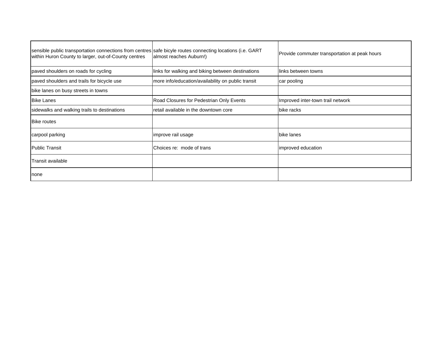| sensible public transportation connections from centres safe bicyle routes connecting locations (i.e. GART<br>within Huron County to larger, out-of-County centres | almost reaches Auburn!)                            | Provide commuter transportation at peak hours |
|--------------------------------------------------------------------------------------------------------------------------------------------------------------------|----------------------------------------------------|-----------------------------------------------|
| paved shoulders on roads for cycling                                                                                                                               | links for walking and biking between destinations  | links between towns                           |
| paved shoulders and trails for bicycle use                                                                                                                         | more info/education/availability on public transit | car pooling                                   |
| bike lanes on busy streets in towns                                                                                                                                |                                                    |                                               |
| <b>IBike Lanes</b>                                                                                                                                                 | Road Closures for Pedestrian Only Events           | Improved inter-town trail network             |
| sidewalks and walking trails to destinations                                                                                                                       | retail available in the downtown core              | bike racks                                    |
| <b>Bike routes</b>                                                                                                                                                 |                                                    |                                               |
| carpool parking                                                                                                                                                    | improve rail usage                                 | bike lanes                                    |
| <b>Public Transit</b>                                                                                                                                              | Choices re: mode of trans                          | improved education                            |
| Transit available                                                                                                                                                  |                                                    |                                               |
| none                                                                                                                                                               |                                                    |                                               |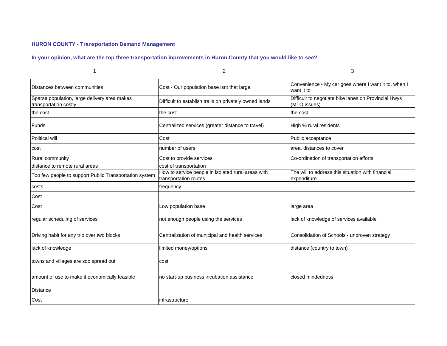## **HURON COUNTY - Transportation Demand Management**

#### **In your opinion, what are the top three transportation inprovements in Huron County that you would like to see?**

|                                                                       | 2                                                                           | 3                                                                    |
|-----------------------------------------------------------------------|-----------------------------------------------------------------------------|----------------------------------------------------------------------|
| Distances between communities                                         | Cost - Our population base isnt that large.                                 | Convenience - My car goes where I want it to, when I<br>want it to   |
| Sparse population, large delivery area makes<br>transportation costly | Difficult to establish trails on privately owned lands                      | Difficult to negotiate bike lanes on Provincial Hwys<br>(MTO issues) |
| the cost                                                              | the cost                                                                    | the cost                                                             |
| Funds                                                                 | Centralized services (greater distance to travel)                           | High % rural residents                                               |
| Political will                                                        | Cost                                                                        | Public acceptance                                                    |
| cost                                                                  | number of users                                                             | area, distances to cover                                             |
| Rural community                                                       | Cost to provide services                                                    | Co-ordination of transportation efforts                              |
| distance to remote rural areas                                        | cost of transportation                                                      |                                                                      |
| Too few people to support Public Transportation system                | How to service people in isolated rural areas with<br>transportation routes | The will to address this situation with financial<br>expenditure     |
| costs                                                                 | frequency                                                                   |                                                                      |
| Cost                                                                  |                                                                             |                                                                      |
| Cost                                                                  | Low population base                                                         | large area                                                           |
| regular scheduling of services                                        | not enough people using the services                                        | lack of knowledge of services available                              |
| Driving habit for any trip over two blocks                            | Centralization of municipal and health services                             | Consolidation of Schools - unproven strategy                         |
| lack of knowledge                                                     | limited money/options                                                       | distance (country to town)                                           |
| towns and villages are soo spread out                                 | cost                                                                        |                                                                      |
| amount of use to make it economically feasible                        | no start-up business incubation assistance                                  | closed mindedness                                                    |
| <b>Distance</b>                                                       |                                                                             |                                                                      |
| Cost                                                                  | infrastructure                                                              |                                                                      |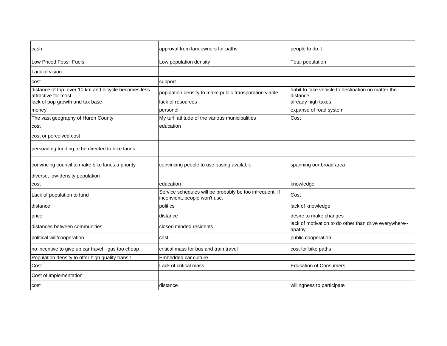| cash                                                                         | approval from landowners for paths                                                        | people to do it                                                   |
|------------------------------------------------------------------------------|-------------------------------------------------------------------------------------------|-------------------------------------------------------------------|
| <b>Low Priced Fossil Fuels</b>                                               | Low population density                                                                    | <b>Total population</b>                                           |
| Lack of vision                                                               |                                                                                           |                                                                   |
| cost                                                                         | support                                                                                   |                                                                   |
| distance of trip. over 10 km and bicycle becomes less<br>attractive for most | population density to make public transporation viable                                    | habit to take vehicle to destination no matter the<br>distance    |
| lack of pop growth and tax base                                              | lack of resources                                                                         | already high taxes                                                |
| money                                                                        | personel                                                                                  | expanse of road system                                            |
| The vast geography of Huron County                                           | My turf' attitude of the various municipalities                                           | Cost                                                              |
| cost                                                                         | education                                                                                 |                                                                   |
| cost or perceived cost                                                       |                                                                                           |                                                                   |
| persuading funding to be directed to bike lanes                              |                                                                                           |                                                                   |
| convincing council to make bike lanes a priority                             | convincing people to use busing available                                                 | spanning our broad area                                           |
| diverse, low-density population                                              |                                                                                           |                                                                   |
| cost                                                                         | education                                                                                 | knowledge                                                         |
| Lack of population to fund                                                   | Service schedules will be probably be too infrequent. If<br>inconvient, people won't use. | Cost                                                              |
| distance                                                                     | politics                                                                                  | lack of knowledge                                                 |
| price                                                                        | distance                                                                                  | desire to make changes                                            |
| distances between communities                                                | closed minded residents                                                                   | lack of motivation to do other than drive everywhere--<br>apathy- |
| political will/cooperation                                                   | cost                                                                                      | public cooperation                                                |
| no incentive to give up car travel - gas too cheap                           | critical mass for bus and train travel                                                    | cost for bike paths                                               |
| Population density to offer high quality transit                             | Embedded car culture                                                                      |                                                                   |
| Cost                                                                         | Lack of critical mass                                                                     | <b>Education of Consumers</b>                                     |
| Cost of implementation                                                       |                                                                                           |                                                                   |
| cost                                                                         | distance                                                                                  | willingness to participate                                        |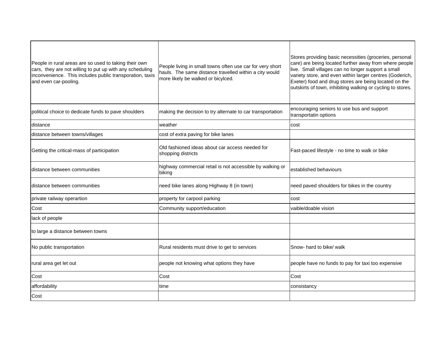| People in rural areas are so used to taking their own<br>cars, they are not willing to put up with any scheduling<br>inconvenience. This includes public transporation, taxis<br>and even car-pooling. | People living in small towns often use car for very short<br>hauls. The same distance travelled within a city would<br>more likely be walked or bicylced. | Stores providing basic necessities (groceries, personal<br>care) are being located further away from where people<br>live. Small villages can no longer support a small<br>variety store, and even within larger centres (Goderich,<br>Exeter) food and drug stores are being located on the<br>outskirts of town, inhibiting walking or cycling to stores. |
|--------------------------------------------------------------------------------------------------------------------------------------------------------------------------------------------------------|-----------------------------------------------------------------------------------------------------------------------------------------------------------|-------------------------------------------------------------------------------------------------------------------------------------------------------------------------------------------------------------------------------------------------------------------------------------------------------------------------------------------------------------|
| political choice to dedicate funds to pave shoulders                                                                                                                                                   | making the decision to try alternate to car transportation                                                                                                | encouraging seniors to use bus and support<br>transportatin options                                                                                                                                                                                                                                                                                         |
| distance                                                                                                                                                                                               | weather                                                                                                                                                   | cost                                                                                                                                                                                                                                                                                                                                                        |
| distance between towns/villages                                                                                                                                                                        | cost of extra paving for bike lanes                                                                                                                       |                                                                                                                                                                                                                                                                                                                                                             |
| Getting the critical-mass of participation                                                                                                                                                             | Old fashioned ideas about car access needed for<br>shopping districts                                                                                     | Fast-paced lifestyle - no time to walk or bike                                                                                                                                                                                                                                                                                                              |
| distance between communities                                                                                                                                                                           | highway commercial retail is not accessible by walking or<br>biking                                                                                       | established behaviours                                                                                                                                                                                                                                                                                                                                      |
| Idistance between communities                                                                                                                                                                          | need bike lanes along Highway 8 (in town)                                                                                                                 | need paved shoulders for bikes in the country                                                                                                                                                                                                                                                                                                               |
| private railway operartion                                                                                                                                                                             | property for carpool parking                                                                                                                              | cost                                                                                                                                                                                                                                                                                                                                                        |
| Cost                                                                                                                                                                                                   | Community support/education                                                                                                                               | vaible/doable vision                                                                                                                                                                                                                                                                                                                                        |
| lack of people                                                                                                                                                                                         |                                                                                                                                                           |                                                                                                                                                                                                                                                                                                                                                             |
| to large a distance between towns                                                                                                                                                                      |                                                                                                                                                           |                                                                                                                                                                                                                                                                                                                                                             |
| No public transportation                                                                                                                                                                               | Rural residents must drive to get to services                                                                                                             | Snow- hard to bike/ walk                                                                                                                                                                                                                                                                                                                                    |
| rural area get let out                                                                                                                                                                                 | people not knowing what options they have                                                                                                                 | people have no funds to pay for taxi too expensive                                                                                                                                                                                                                                                                                                          |
| Cost                                                                                                                                                                                                   | Cost                                                                                                                                                      | Cost                                                                                                                                                                                                                                                                                                                                                        |
| affordability                                                                                                                                                                                          | time                                                                                                                                                      | consistancy                                                                                                                                                                                                                                                                                                                                                 |
| Cost                                                                                                                                                                                                   |                                                                                                                                                           |                                                                                                                                                                                                                                                                                                                                                             |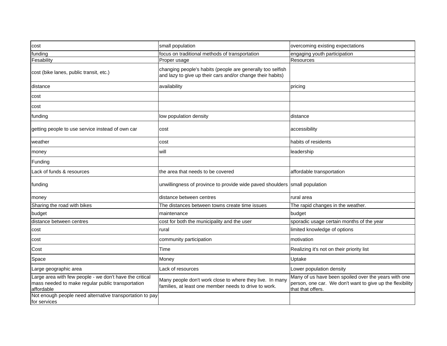| cost                                                                                                                       | small population                                                                                                         | overcoming existing expectations                                                                                                       |
|----------------------------------------------------------------------------------------------------------------------------|--------------------------------------------------------------------------------------------------------------------------|----------------------------------------------------------------------------------------------------------------------------------------|
| funding                                                                                                                    | focus on traditional methods of transportation                                                                           | engaging youth participation                                                                                                           |
| Fesability                                                                                                                 | Proper usage                                                                                                             | <b>Resources</b>                                                                                                                       |
| cost (bike lanes, public transit, etc.)                                                                                    | changing people's habits (people are generally too selfish<br>and lazy to give up their cars and/or change their habits) |                                                                                                                                        |
| distance                                                                                                                   | availability                                                                                                             | pricing                                                                                                                                |
| cost                                                                                                                       |                                                                                                                          |                                                                                                                                        |
| cost                                                                                                                       |                                                                                                                          |                                                                                                                                        |
| funding                                                                                                                    | low population density                                                                                                   | distance                                                                                                                               |
| getting people to use service instead of own car                                                                           | cost                                                                                                                     | accessibility                                                                                                                          |
| weather                                                                                                                    | cost                                                                                                                     | habits of residents                                                                                                                    |
| money                                                                                                                      | will                                                                                                                     | leadership                                                                                                                             |
| Funding                                                                                                                    |                                                                                                                          |                                                                                                                                        |
| Lack of funds & resources                                                                                                  | the area that needs to be covered                                                                                        | affordable transportation                                                                                                              |
| funding                                                                                                                    | unwillingness of province to provide wide paved shoulders small population                                               |                                                                                                                                        |
| money                                                                                                                      | distance between centres                                                                                                 | rural area                                                                                                                             |
| Sharing the road with bikes                                                                                                | The distances between towns create time issues                                                                           | The rapid changes in the weather.                                                                                                      |
| budget                                                                                                                     | maintenance                                                                                                              | budget                                                                                                                                 |
| distance between centres                                                                                                   | cost for both the municipality and the user                                                                              | sporadic usage certain months of the year                                                                                              |
| cost                                                                                                                       | rural                                                                                                                    | limited knowledge of options                                                                                                           |
| cost                                                                                                                       | community participation                                                                                                  | motivation                                                                                                                             |
| Cost                                                                                                                       | Time                                                                                                                     | Realizing it's not on their priority list                                                                                              |
| Space                                                                                                                      | Money                                                                                                                    | Uptake                                                                                                                                 |
| Large geographic area                                                                                                      | Lack of resources                                                                                                        | Lower population density                                                                                                               |
| Large area with few people - we don't have the critical<br>mass needed to make regular public transportation<br>affordable | Many people don't work close to where they live. In many<br>families, at least one member needs to drive to work.        | Many of us have been spoiled over the years with one<br>person, one car. We don't want to give up the flexibility<br>that that offers. |
| Not enough people need alternative transportation to pay<br>for services                                                   |                                                                                                                          |                                                                                                                                        |